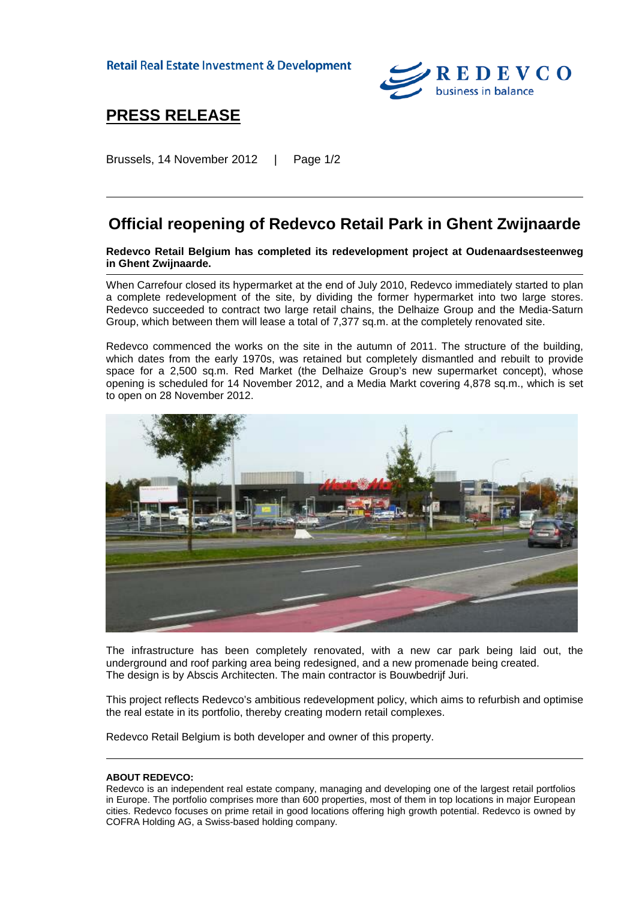**Retail Real Estate Investment & Development** 



## **PRESS RELEASE**

Brussels, 14 November 2012 | Page 1/2

## **Official reopening of Redevco Retail Park in Ghent Zwijnaarde**

**Redevco Retail Belgium has completed its redevelopment project at Oudenaardsesteenweg in Ghent Zwijnaarde.**

When Carrefour closed its hypermarket at the end of July 2010, Redevco immediately started to plan a complete redevelopment of the site, by dividing the former hypermarket into two large stores. Redevco succeeded to contract two large retail chains, the Delhaize Group and the Media-Saturn Group, which between them will lease a total of 7,377 sq.m. at the completely renovated site.

Redevco commenced the works on the site in the autumn of 2011. The structure of the building, which dates from the early 1970s, was retained but completely dismantled and rebuilt to provide space for a 2,500 sq.m. Red Market (the Delhaize Group's new supermarket concept), whose opening is scheduled for 14 November 2012, and a Media Markt covering 4,878 sq.m., which is set to open on 28 November 2012.



The infrastructure has been completely renovated, with a new car park being laid out, the underground and roof parking area being redesigned, and a new promenade being created. The design is by Abscis Architecten. The main contractor is Bouwbedrijf Juri.

This project reflects Redevco's ambitious redevelopment policy, which aims to refurbish and optimise the real estate in its portfolio, thereby creating modern retail complexes.

Redevco Retail Belgium is both developer and owner of this property.

## **ABOUT REDEVCO:**

Redevco is an independent real estate company, managing and developing one of the largest retail portfolios in Europe. The portfolio comprises more than 600 properties, most of them in top locations in major European cities. Redevco focuses on prime retail in good locations offering high growth potential. Redevco is owned by COFRA Holding AG, a Swiss-based holding company.